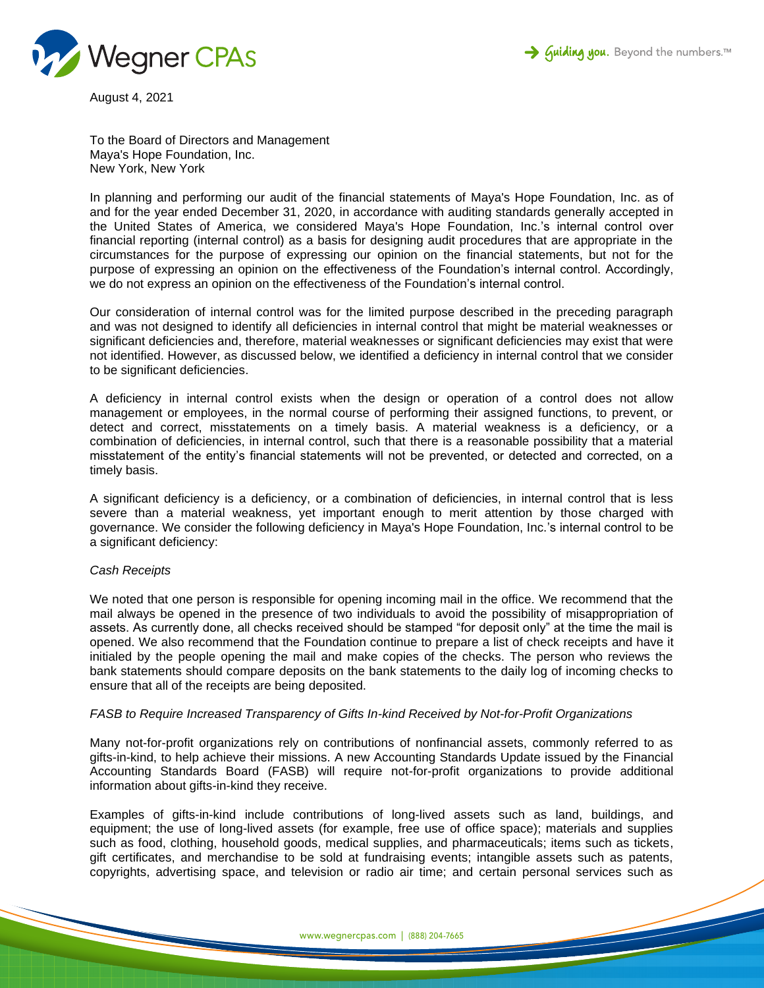



August 4, 2021

To the Board of Directors and Management Maya's Hope Foundation, Inc. New York, New York

In planning and performing our audit of the financial statements of Maya's Hope Foundation, Inc. as of and for the year ended December 31, 2020, in accordance with auditing standards generally accepted in the United States of America, we considered Maya's Hope Foundation, Inc.'s internal control over financial reporting (internal control) as a basis for designing audit procedures that are appropriate in the circumstances for the purpose of expressing our opinion on the financial statements, but not for the purpose of expressing an opinion on the effectiveness of the Foundation's internal control. Accordingly, we do not express an opinion on the effectiveness of the Foundation's internal control.

Our consideration of internal control was for the limited purpose described in the preceding paragraph and was not designed to identify all deficiencies in internal control that might be material weaknesses or significant deficiencies and, therefore, material weaknesses or significant deficiencies may exist that were not identified. However, as discussed below, we identified a deficiency in internal control that we consider to be significant deficiencies.

A deficiency in internal control exists when the design or operation of a control does not allow management or employees, in the normal course of performing their assigned functions, to prevent, or detect and correct, misstatements on a timely basis. A material weakness is a deficiency, or a combination of deficiencies, in internal control, such that there is a reasonable possibility that a material misstatement of the entity's financial statements will not be prevented, or detected and corrected, on a timely basis.

A significant deficiency is a deficiency, or a combination of deficiencies, in internal control that is less severe than a material weakness, yet important enough to merit attention by those charged with governance. We consider the following deficiency in Maya's Hope Foundation, Inc.'s internal control to be a significant deficiency:

## *Cash Receipts*

We noted that one person is responsible for opening incoming mail in the office. We recommend that the mail always be opened in the presence of two individuals to avoid the possibility of misappropriation of assets. As currently done, all checks received should be stamped "for deposit only" at the time the mail is opened. We also recommend that the Foundation continue to prepare a list of check receipts and have it initialed by the people opening the mail and make copies of the checks. The person who reviews the bank statements should compare deposits on the bank statements to the daily log of incoming checks to ensure that all of the receipts are being deposited.

## *FASB to Require Increased Transparency of Gifts In-kind Received by Not-for-Profit Organizations*

Many not-for-profit organizations rely on contributions of nonfinancial assets, commonly referred to as gifts-in-kind, to help achieve their missions. A new Accounting Standards Update issued by the Financial Accounting Standards Board (FASB) will require not-for-profit organizations to provide additional information about gifts-in-kind they receive.

Examples of gifts-in-kind include contributions of long-lived assets such as land, buildings, and equipment; the use of long-lived assets (for example, free use of office space); materials and supplies such as food, clothing, household goods, medical supplies, and pharmaceuticals; items such as tickets, gift certificates, and merchandise to be sold at fundraising events; intangible assets such as patents, copyrights, advertising space, and television or radio air time; and certain personal services such as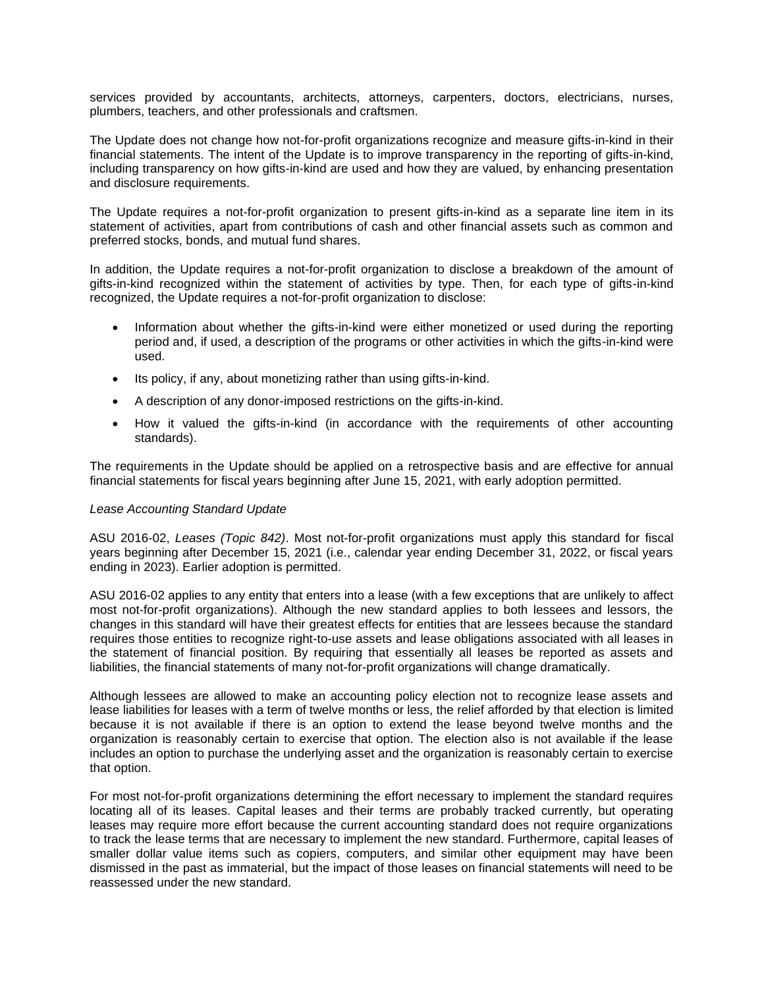services provided by accountants, architects, attorneys, carpenters, doctors, electricians, nurses, plumbers, teachers, and other professionals and craftsmen.

The Update does not change how not-for-profit organizations recognize and measure gifts-in-kind in their financial statements. The intent of the Update is to improve transparency in the reporting of gifts-in-kind, including transparency on how gifts-in-kind are used and how they are valued, by enhancing presentation and disclosure requirements.

The Update requires a not-for-profit organization to present gifts-in-kind as a separate line item in its statement of activities, apart from contributions of cash and other financial assets such as common and preferred stocks, bonds, and mutual fund shares.

In addition, the Update requires a not-for-profit organization to disclose a breakdown of the amount of gifts-in-kind recognized within the statement of activities by type. Then, for each type of gifts-in-kind recognized, the Update requires a not-for-profit organization to disclose:

- Information about whether the gifts-in-kind were either monetized or used during the reporting period and, if used, a description of the programs or other activities in which the gifts-in-kind were used.
- Its policy, if any, about monetizing rather than using gifts-in-kind.
- A description of any donor-imposed restrictions on the gifts-in-kind.
- How it valued the gifts-in-kind (in accordance with the requirements of other accounting standards).

The requirements in the Update should be applied on a retrospective basis and are effective for annual financial statements for fiscal years beginning after June 15, 2021, with early adoption permitted.

## *Lease Accounting Standard Update*

ASU 2016-02, *Leases (Topic 842)*. Most not-for-profit organizations must apply this standard for fiscal years beginning after December 15, 2021 (i.e., calendar year ending December 31, 2022, or fiscal years ending in 2023). Earlier adoption is permitted.

ASU 2016-02 applies to any entity that enters into a lease (with a few exceptions that are unlikely to affect most not-for-profit organizations). Although the new standard applies to both lessees and lessors, the changes in this standard will have their greatest effects for entities that are lessees because the standard requires those entities to recognize right-to-use assets and lease obligations associated with all leases in the statement of financial position. By requiring that essentially all leases be reported as assets and liabilities, the financial statements of many not-for-profit organizations will change dramatically.

Although lessees are allowed to make an accounting policy election not to recognize lease assets and lease liabilities for leases with a term of twelve months or less, the relief afforded by that election is limited because it is not available if there is an option to extend the lease beyond twelve months and the organization is reasonably certain to exercise that option. The election also is not available if the lease includes an option to purchase the underlying asset and the organization is reasonably certain to exercise that option.

For most not-for-profit organizations determining the effort necessary to implement the standard requires locating all of its leases. Capital leases and their terms are probably tracked currently, but operating leases may require more effort because the current accounting standard does not require organizations to track the lease terms that are necessary to implement the new standard. Furthermore, capital leases of smaller dollar value items such as copiers, computers, and similar other equipment may have been dismissed in the past as immaterial, but the impact of those leases on financial statements will need to be reassessed under the new standard.